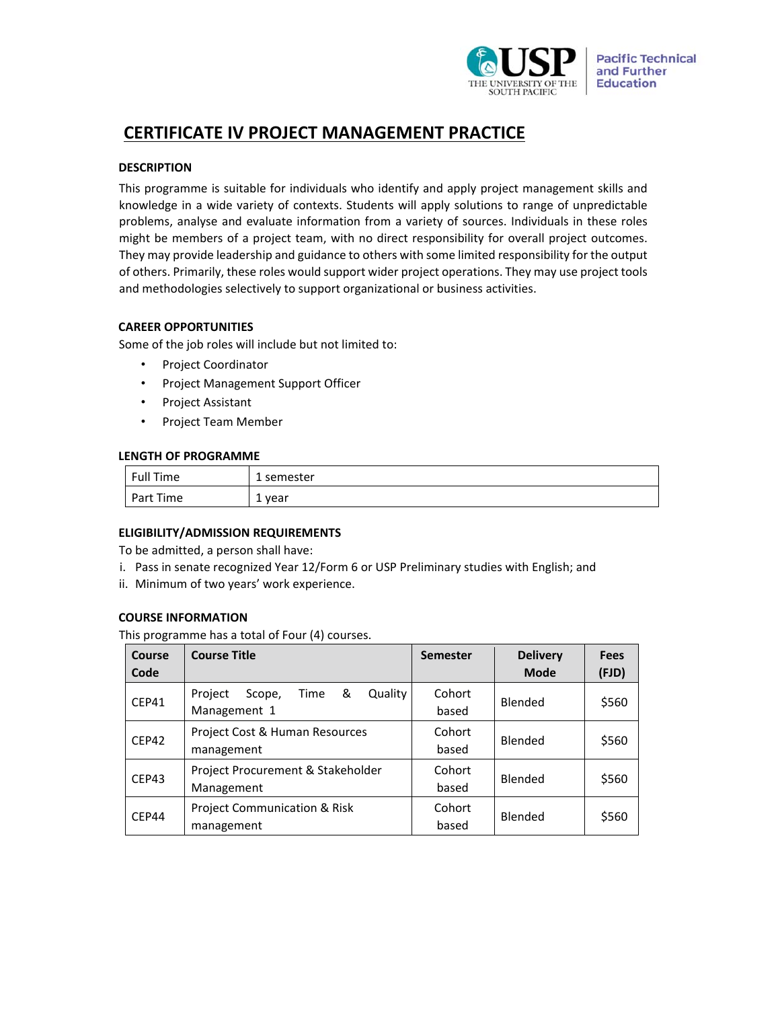

# **CERTIFICATE IV PROJECT MANAGEMENT PRACTICE**

## **DESCRIPTION**

This programme is suitable for individuals who identify and apply project management skills and knowledge in a wide variety of contexts. Students will apply solutions to range of unpredictable problems, analyse and evaluate information from a variety of sources. Individuals in these roles might be members of a project team, with no direct responsibility for overall project outcomes. They may provide leadership and guidance to others with some limited responsibility for the output of others. Primarily, these roles would support wider project operations. They may use project tools and methodologies selectively to support organizational or business activities.

## **CAREER OPPORTUNITIES**

Some of the job roles will include but not limited to:

- Project Coordinator
- Project Management Support Officer
- Project Assistant
- Project Team Member

## **LENGTH OF PROGRAMME**

| Full Time | 1 semester       |
|-----------|------------------|
| Part Time | year<br><b>.</b> |

## **ELIGIBILITY/ADMISSION REQUIREMENTS**

To be admitted, a person shall have:

- i. Pass in senate recognized Year 12/Form 6 or USP Preliminary studies with English; and
- ii. Minimum of two years' work experience.

## **COURSE INFORMATION**

This programme has a total of Four (4) courses.

| Course<br>Code | <b>Course Title</b>                                       | <b>Semester</b> | <b>Delivery</b><br><b>Mode</b> | <b>Fees</b><br>(FJD) |
|----------------|-----------------------------------------------------------|-----------------|--------------------------------|----------------------|
| CEP41          | &<br>Quality<br>Project<br>Time<br>Scope,<br>Management 1 | Cohort<br>based | Blended                        | \$560                |
| CEP42          | Project Cost & Human Resources<br>management              | Cohort<br>based | Blended                        | \$560                |
| CEP43          | Project Procurement & Stakeholder<br>Management           | Cohort<br>based | Blended                        | \$560                |
| CEP44          | <b>Project Communication &amp; Risk</b><br>management     | Cohort<br>based | Blended                        | \$560                |